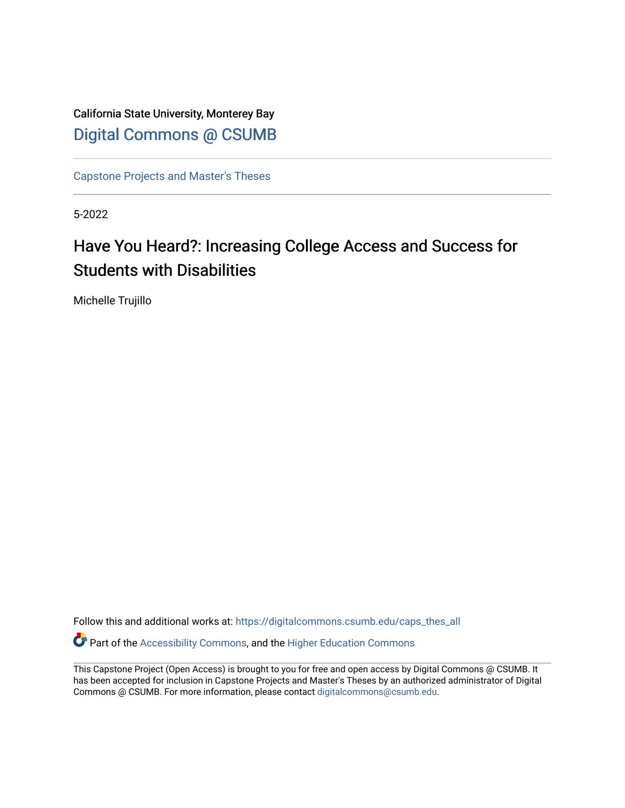California State University, Monterey Bay [Digital Commons @ CSUMB](https://digitalcommons.csumb.edu/)

[Capstone Projects and Master's Theses](https://digitalcommons.csumb.edu/caps_thes_all)

5-2022

# Have You Heard?: Increasing College Access and Success for Students with Disabilities

Michelle Trujillo

Follow this and additional works at: [https://digitalcommons.csumb.edu/caps\\_thes\\_all](https://digitalcommons.csumb.edu/caps_thes_all?utm_source=digitalcommons.csumb.edu%2Fcaps_thes_all%2F1308&utm_medium=PDF&utm_campaign=PDFCoverPages)

Part of the [Accessibility Commons,](https://network.bepress.com/hgg/discipline/1318?utm_source=digitalcommons.csumb.edu%2Fcaps_thes_all%2F1308&utm_medium=PDF&utm_campaign=PDFCoverPages) and the [Higher Education Commons](https://network.bepress.com/hgg/discipline/1245?utm_source=digitalcommons.csumb.edu%2Fcaps_thes_all%2F1308&utm_medium=PDF&utm_campaign=PDFCoverPages) 

This Capstone Project (Open Access) is brought to you for free and open access by Digital Commons @ CSUMB. It has been accepted for inclusion in Capstone Projects and Master's Theses by an authorized administrator of Digital Commons @ CSUMB. For more information, please contact [digitalcommons@csumb.edu](mailto:digitalcommons@csumb.edu).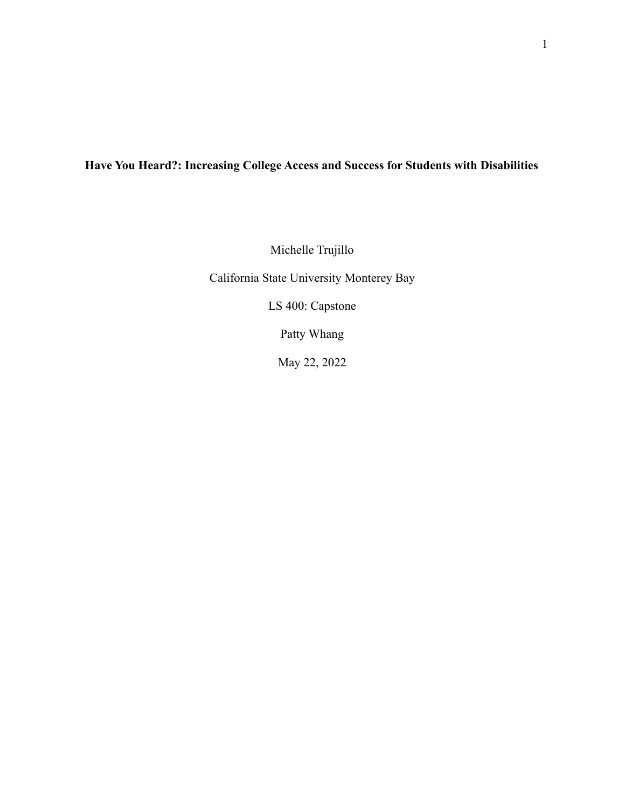# **Have You Heard?: Increasing College Access and Success for Students with Disabilities**

Michelle Trujillo

California State University Monterey Bay

LS 400: Capstone

Patty Whang

May 22, 2022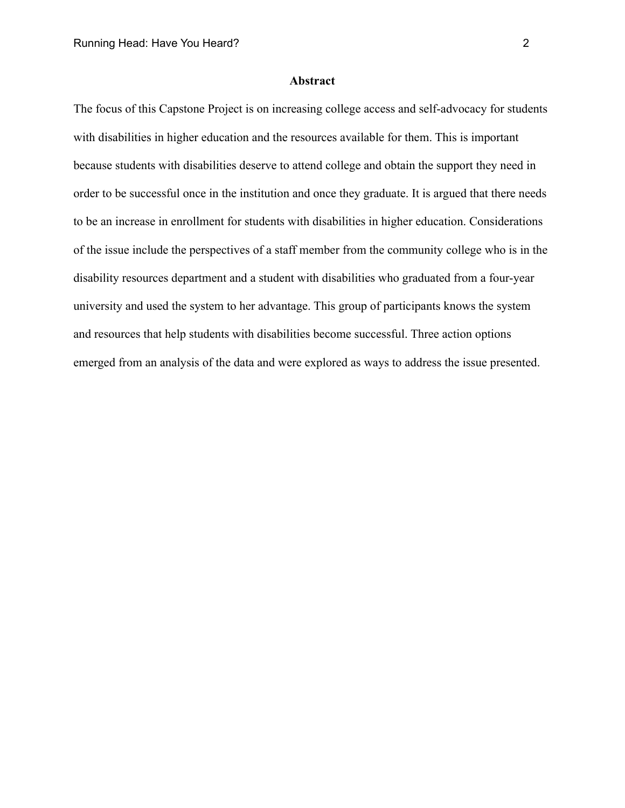#### **Abstract**

The focus of this Capstone Project is on increasing college access and self-advocacy for students with disabilities in higher education and the resources available for them. This is important because students with disabilities deserve to attend college and obtain the support they need in order to be successful once in the institution and once they graduate. It is argued that there needs to be an increase in enrollment for students with disabilities in higher education. Considerations of the issue include the perspectives of a staff member from the community college who is in the disability resources department and a student with disabilities who graduated from a four-year university and used the system to her advantage. This group of participants knows the system and resources that help students with disabilities become successful. Three action options emerged from an analysis of the data and were explored as ways to address the issue presented.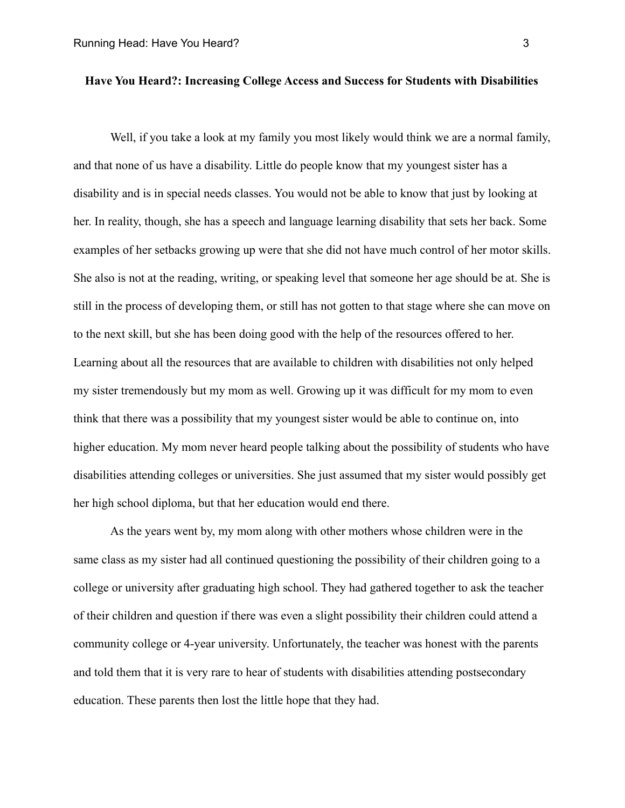# **Have You Heard?: Increasing College Access and Success for Students with Disabilities**

Well, if you take a look at my family you most likely would think we are a normal family, and that none of us have a disability. Little do people know that my youngest sister has a disability and is in special needs classes. You would not be able to know that just by looking at her. In reality, though, she has a speech and language learning disability that sets her back. Some examples of her setbacks growing up were that she did not have much control of her motor skills. She also is not at the reading, writing, or speaking level that someone her age should be at. She is still in the process of developing them, or still has not gotten to that stage where she can move on to the next skill, but she has been doing good with the help of the resources offered to her. Learning about all the resources that are available to children with disabilities not only helped my sister tremendously but my mom as well. Growing up it was difficult for my mom to even think that there was a possibility that my youngest sister would be able to continue on, into higher education. My mom never heard people talking about the possibility of students who have disabilities attending colleges or universities. She just assumed that my sister would possibly get her high school diploma, but that her education would end there.

As the years went by, my mom along with other mothers whose children were in the same class as my sister had all continued questioning the possibility of their children going to a college or university after graduating high school. They had gathered together to ask the teacher of their children and question if there was even a slight possibility their children could attend a community college or 4-year university. Unfortunately, the teacher was honest with the parents and told them that it is very rare to hear of students with disabilities attending postsecondary education. These parents then lost the little hope that they had.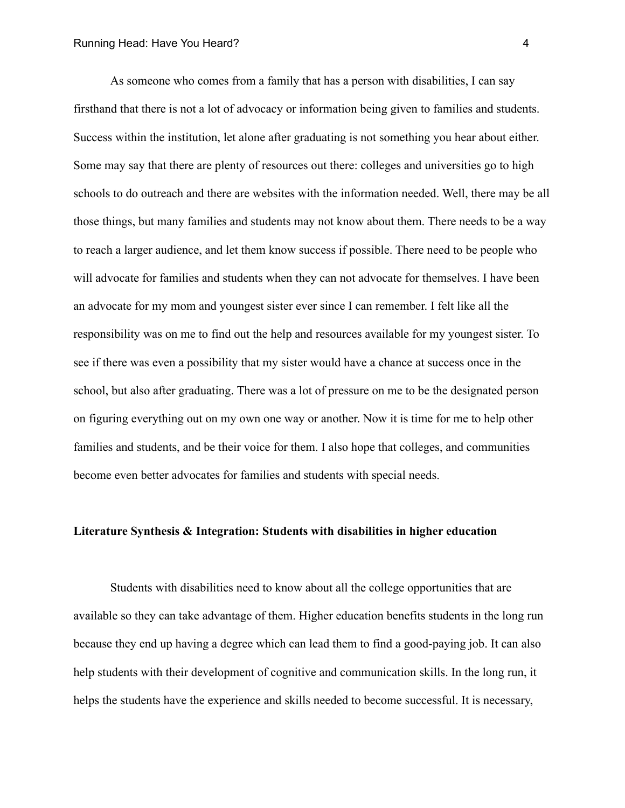As someone who comes from a family that has a person with disabilities, I can say firsthand that there is not a lot of advocacy or information being given to families and students. Success within the institution, let alone after graduating is not something you hear about either. Some may say that there are plenty of resources out there: colleges and universities go to high schools to do outreach and there are websites with the information needed. Well, there may be all those things, but many families and students may not know about them. There needs to be a way to reach a larger audience, and let them know success if possible. There need to be people who will advocate for families and students when they can not advocate for themselves. I have been an advocate for my mom and youngest sister ever since I can remember. I felt like all the responsibility was on me to find out the help and resources available for my youngest sister. To see if there was even a possibility that my sister would have a chance at success once in the school, but also after graduating. There was a lot of pressure on me to be the designated person on figuring everything out on my own one way or another. Now it is time for me to help other families and students, and be their voice for them. I also hope that colleges, and communities become even better advocates for families and students with special needs.

#### **Literature Synthesis & Integration: Students with disabilities in higher education**

Students with disabilities need to know about all the college opportunities that are available so they can take advantage of them. Higher education benefits students in the long run because they end up having a degree which can lead them to find a good-paying job. It can also help students with their development of cognitive and communication skills. In the long run, it helps the students have the experience and skills needed to become successful. It is necessary,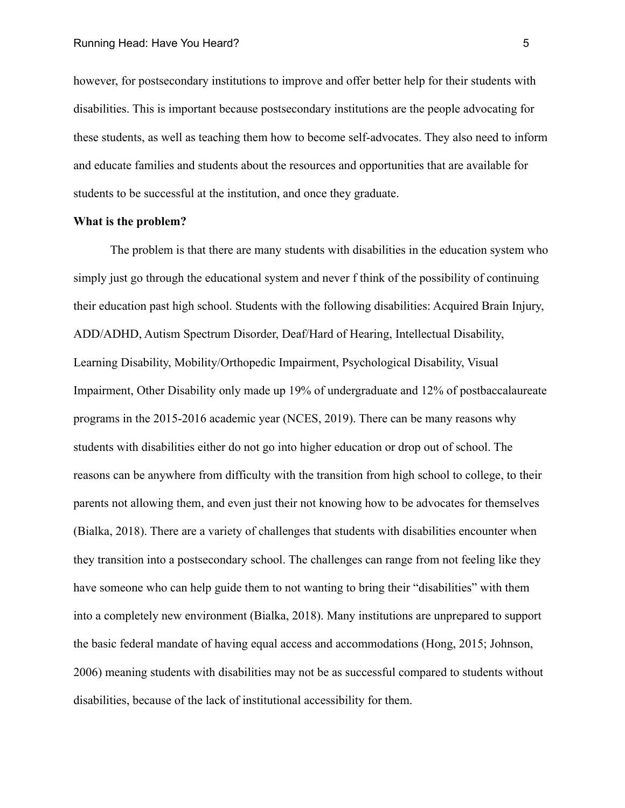however, for postsecondary institutions to improve and offer better help for their students with disabilities. This is important because postsecondary institutions are the people advocating for these students, as well as teaching them how to become self-advocates. They also need to inform and educate families and students about the resources and opportunities that are available for students to be successful at the institution, and once they graduate.

#### **What is the problem?**

The problem is that there are many students with disabilities in the education system who simply just go through the educational system and never f think of the possibility of continuing their education past high school. Students with the following disabilities: Acquired Brain Injury, ADD/ADHD, Autism Spectrum Disorder, Deaf/Hard of Hearing, Intellectual Disability, Learning Disability, Mobility/Orthopedic Impairment, Psychological Disability, Visual Impairment, Other Disability only made up 19% of undergraduate and 12% of postbaccalaureate programs in the 2015-2016 academic year (NCES, 2019). There can be many reasons why students with disabilities either do not go into higher education or drop out of school. The reasons can be anywhere from difficulty with the transition from high school to college, to their parents not allowing them, and even just their not knowing how to be advocates for themselves (Bialka, 2018). There are a variety of challenges that students with disabilities encounter when they transition into a postsecondary school. The challenges can range from not feeling like they have someone who can help guide them to not wanting to bring their "disabilities" with them into a completely new environment (Bialka, 2018). Many institutions are unprepared to support the basic federal mandate of having equal access and accommodations (Hong, 2015; Johnson, 2006) meaning students with disabilities may not be as successful compared to students without disabilities, because of the lack of institutional accessibility for them.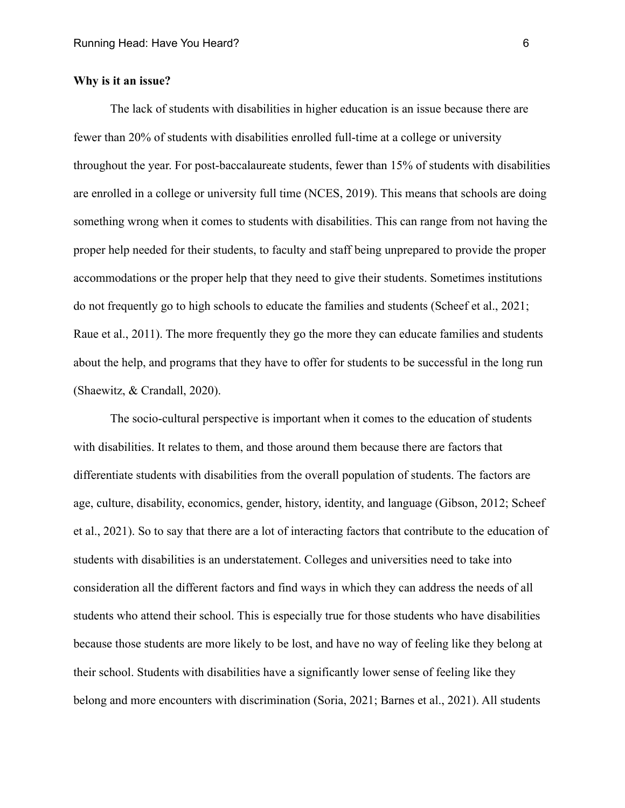# **Why is it an issue?**

The lack of students with disabilities in higher education is an issue because there are fewer than 20% of students with disabilities enrolled full-time at a college or university throughout the year. For post-baccalaureate students, fewer than 15% of students with disabilities are enrolled in a college or university full time (NCES, 2019). This means that schools are doing something wrong when it comes to students with disabilities. This can range from not having the proper help needed for their students, to faculty and staff being unprepared to provide the proper accommodations or the proper help that they need to give their students. Sometimes institutions do not frequently go to high schools to educate the families and students (Scheef et al., 2021; Raue et al., 2011). The more frequently they go the more they can educate families and students about the help, and programs that they have to offer for students to be successful in the long run (Shaewitz, & Crandall, 2020).

The socio-cultural perspective is important when it comes to the education of students with disabilities. It relates to them, and those around them because there are factors that differentiate students with disabilities from the overall population of students. The factors are age, culture, disability, economics, gender, history, identity, and language (Gibson, 2012; Scheef et al., 2021). So to say that there are a lot of interacting factors that contribute to the education of students with disabilities is an understatement. Colleges and universities need to take into consideration all the different factors and find ways in which they can address the needs of all students who attend their school. This is especially true for those students who have disabilities because those students are more likely to be lost, and have no way of feeling like they belong at their school. Students with disabilities have a significantly lower sense of feeling like they belong and more encounters with discrimination (Soria, 2021; Barnes et al., 2021). All students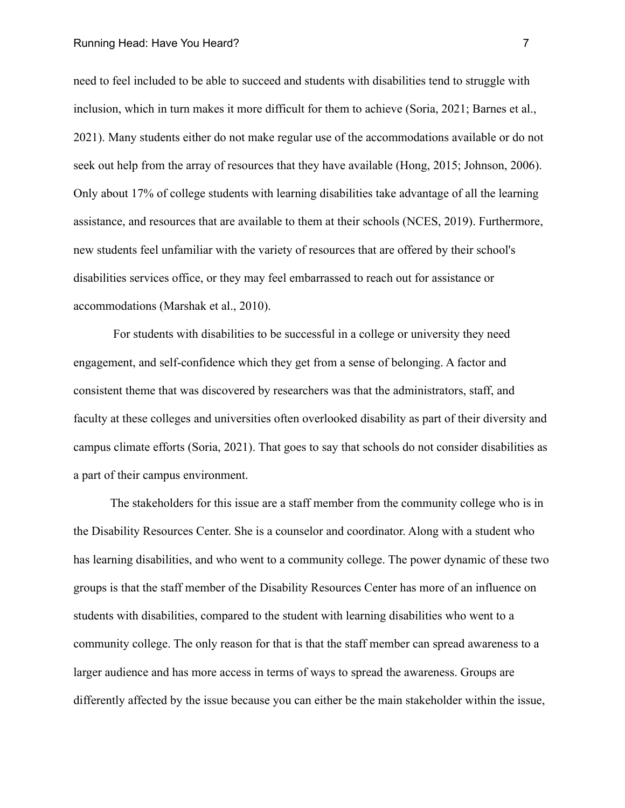#### Running Head: Have You Heard? 7

need to feel included to be able to succeed and students with disabilities tend to struggle with inclusion, which in turn makes it more difficult for them to achieve (Soria, 2021; Barnes et al., 2021). Many students either do not make regular use of the accommodations available or do not seek out help from the array of resources that they have available (Hong, 2015; Johnson, 2006). Only about 17% of college students with learning disabilities take advantage of all the learning assistance, and resources that are available to them at their schools (NCES, 2019). Furthermore, new students feel unfamiliar with the variety of resources that are offered by their school's disabilities services office, or they may feel embarrassed to reach out for assistance or accommodations (Marshak et al., 2010).

For students with disabilities to be successful in a college or university they need engagement, and self-confidence which they get from a sense of belonging. A factor and consistent theme that was discovered by researchers was that the administrators, staff, and faculty at these colleges and universities often overlooked disability as part of their diversity and campus climate efforts (Soria, 2021). That goes to say that schools do not consider disabilities as a part of their campus environment.

The stakeholders for this issue are a staff member from the community college who is in the Disability Resources Center. She is a counselor and coordinator. Along with a student who has learning disabilities, and who went to a community college. The power dynamic of these two groups is that the staff member of the Disability Resources Center has more of an influence on students with disabilities, compared to the student with learning disabilities who went to a community college. The only reason for that is that the staff member can spread awareness to a larger audience and has more access in terms of ways to spread the awareness. Groups are differently affected by the issue because you can either be the main stakeholder within the issue,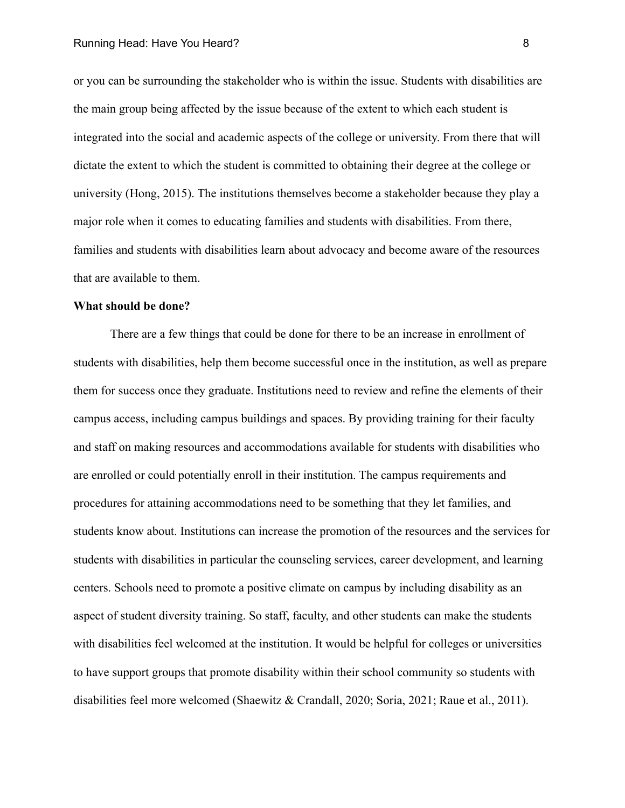or you can be surrounding the stakeholder who is within the issue. Students with disabilities are the main group being affected by the issue because of the extent to which each student is integrated into the social and academic aspects of the college or university. From there that will dictate the extent to which the student is committed to obtaining their degree at the college or university (Hong, 2015). The institutions themselves become a stakeholder because they play a major role when it comes to educating families and students with disabilities. From there, families and students with disabilities learn about advocacy and become aware of the resources that are available to them.

### **What should be done?**

There are a few things that could be done for there to be an increase in enrollment of students with disabilities, help them become successful once in the institution, as well as prepare them for success once they graduate. Institutions need to review and refine the elements of their campus access, including campus buildings and spaces. By providing training for their faculty and staff on making resources and accommodations available for students with disabilities who are enrolled or could potentially enroll in their institution. The campus requirements and procedures for attaining accommodations need to be something that they let families, and students know about. Institutions can increase the promotion of the resources and the services for students with disabilities in particular the counseling services, career development, and learning centers. Schools need to promote a positive climate on campus by including disability as an aspect of student diversity training. So staff, faculty, and other students can make the students with disabilities feel welcomed at the institution. It would be helpful for colleges or universities to have support groups that promote disability within their school community so students with disabilities feel more welcomed (Shaewitz & Crandall, 2020; Soria, 2021; Raue et al., 2011).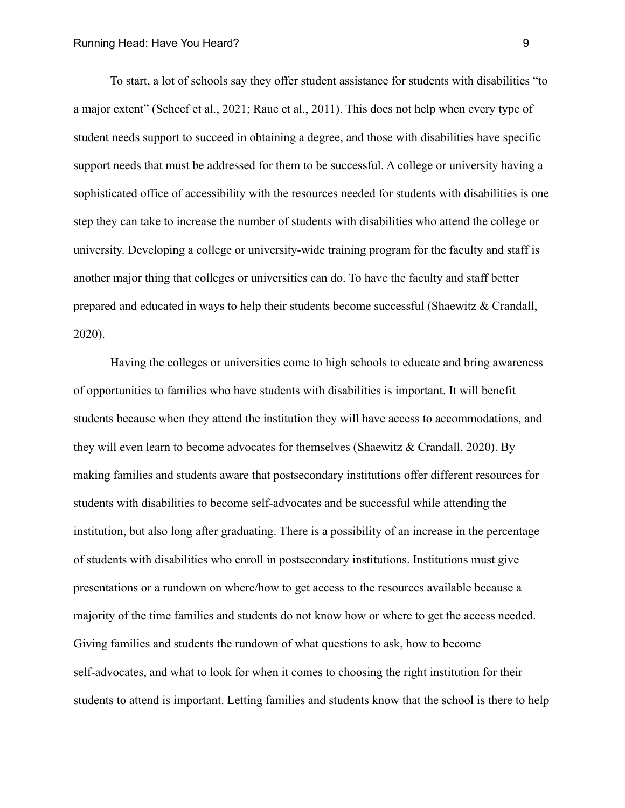To start, a lot of schools say they offer student assistance for students with disabilities "to a major extent" (Scheef et al., 2021; Raue et al., 2011). This does not help when every type of student needs support to succeed in obtaining a degree, and those with disabilities have specific support needs that must be addressed for them to be successful. A college or university having a sophisticated office of accessibility with the resources needed for students with disabilities is one step they can take to increase the number of students with disabilities who attend the college or university. Developing a college or university-wide training program for the faculty and staff is another major thing that colleges or universities can do. To have the faculty and staff better prepared and educated in ways to help their students become successful (Shaewitz & Crandall, 2020).

Having the colleges or universities come to high schools to educate and bring awareness of opportunities to families who have students with disabilities is important. It will benefit students because when they attend the institution they will have access to accommodations, and they will even learn to become advocates for themselves (Shaewitz & Crandall, 2020). By making families and students aware that postsecondary institutions offer different resources for students with disabilities to become self-advocates and be successful while attending the institution, but also long after graduating. There is a possibility of an increase in the percentage of students with disabilities who enroll in postsecondary institutions. Institutions must give presentations or a rundown on where/how to get access to the resources available because a majority of the time families and students do not know how or where to get the access needed. Giving families and students the rundown of what questions to ask, how to become self-advocates, and what to look for when it comes to choosing the right institution for their students to attend is important. Letting families and students know that the school is there to help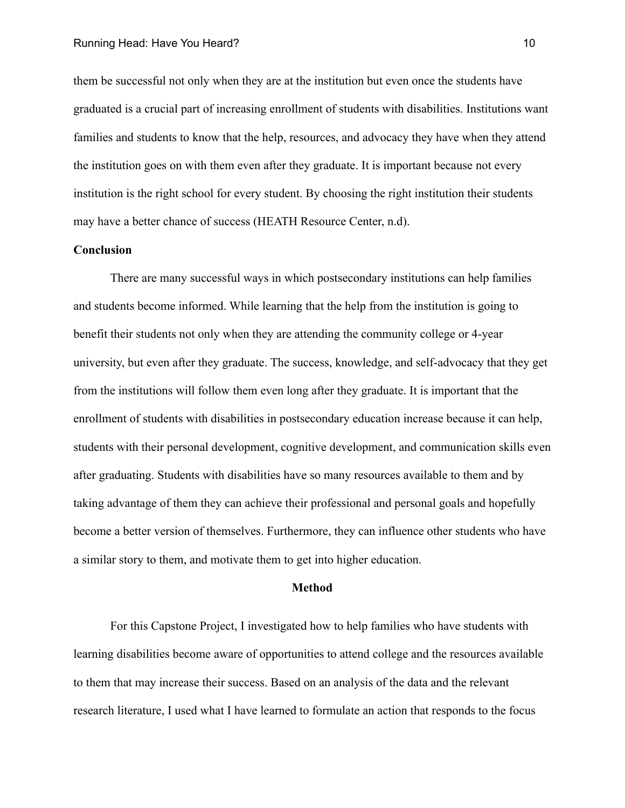them be successful not only when they are at the institution but even once the students have graduated is a crucial part of increasing enrollment of students with disabilities. Institutions want families and students to know that the help, resources, and advocacy they have when they attend the institution goes on with them even after they graduate. It is important because not every institution is the right school for every student. By choosing the right institution their students may have a better chance of success (HEATH Resource Center, n.d).

# **Conclusion**

There are many successful ways in which postsecondary institutions can help families and students become informed. While learning that the help from the institution is going to benefit their students not only when they are attending the community college or 4-year university, but even after they graduate. The success, knowledge, and self-advocacy that they get from the institutions will follow them even long after they graduate. It is important that the enrollment of students with disabilities in postsecondary education increase because it can help, students with their personal development, cognitive development, and communication skills even after graduating. Students with disabilities have so many resources available to them and by taking advantage of them they can achieve their professional and personal goals and hopefully become a better version of themselves. Furthermore, they can influence other students who have a similar story to them, and motivate them to get into higher education.

#### **Method**

For this Capstone Project, I investigated how to help families who have students with learning disabilities become aware of opportunities to attend college and the resources available to them that may increase their success. Based on an analysis of the data and the relevant research literature, I used what I have learned to formulate an action that responds to the focus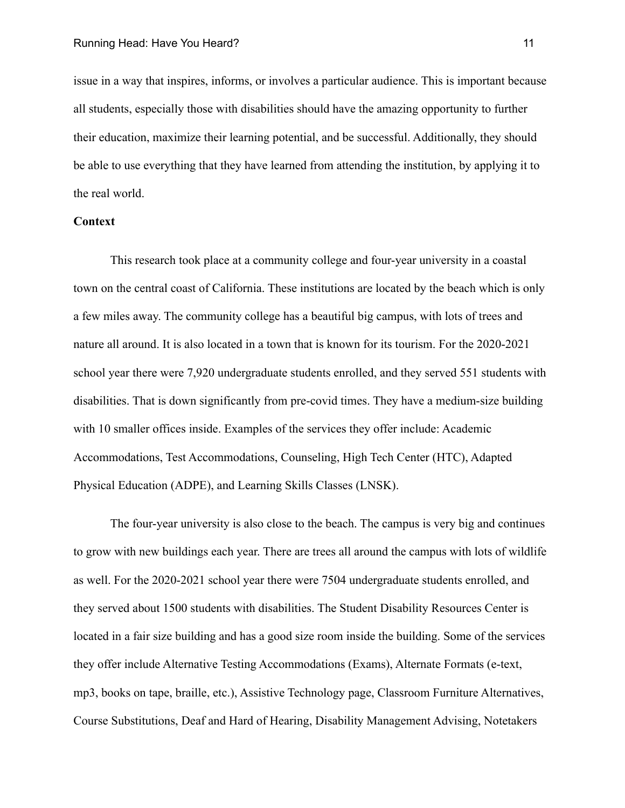issue in a way that inspires, informs, or involves a particular audience. This is important because all students, especially those with disabilities should have the amazing opportunity to further their education, maximize their learning potential, and be successful. Additionally, they should be able to use everything that they have learned from attending the institution, by applying it to the real world.

# **Context**

This research took place at a community college and four-year university in a coastal town on the central coast of California. These institutions are located by the beach which is only a few miles away. The community college has a beautiful big campus, with lots of trees and nature all around. It is also located in a town that is known for its tourism. For the 2020-2021 school year there were 7,920 undergraduate students enrolled, and they served 551 students with disabilities. That is down significantly from pre-covid times. They have a medium-size building with 10 smaller offices inside. Examples of the services they offer include: Academic Accommodations, Test Accommodations, Counseling, High Tech Center (HTC), Adapted Physical Education (ADPE), and Learning Skills Classes (LNSK).

The four-year university is also close to the beach. The campus is very big and continues to grow with new buildings each year. There are trees all around the campus with lots of wildlife as well. For the 2020-2021 school year there were 7504 undergraduate students enrolled, and they served about 1500 students with disabilities. The Student Disability Resources Center is located in a fair size building and has a good size room inside the building. Some of the services they offer include Alternative Testing Accommodations (Exams), Alternate Formats (e-text, mp3, books on tape, braille, etc.), Assistive Technology page, Classroom Furniture Alternatives, Course Substitutions, Deaf and Hard of Hearing, Disability Management Advising, Notetakers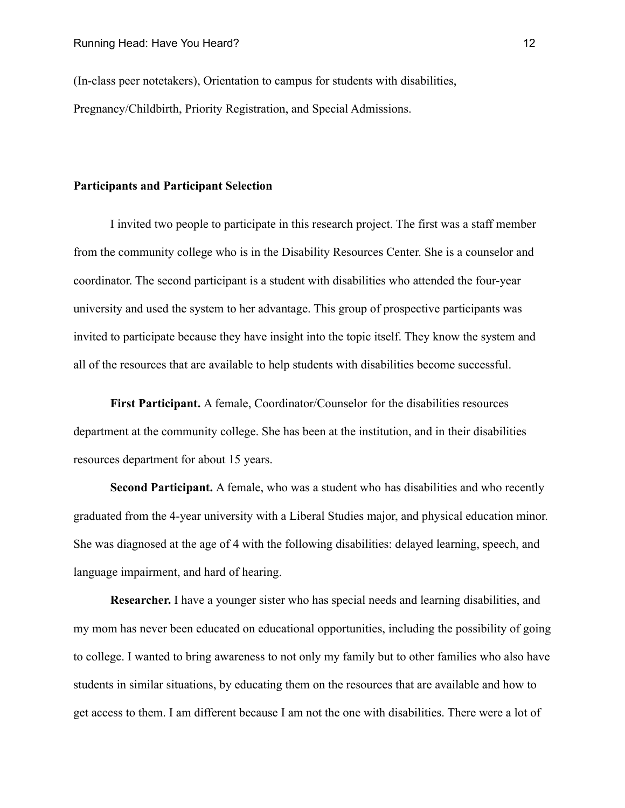(In-class peer notetakers), Orientation to campus for students with disabilities, Pregnancy/Childbirth, Priority Registration, and Special Admissions.

### **Participants and Participant Selection**

I invited two people to participate in this research project. The first was a staff member from the community college who is in the Disability Resources Center. She is a counselor and coordinator. The second participant is a student with disabilities who attended the four-year university and used the system to her advantage. This group of prospective participants was invited to participate because they have insight into the topic itself. They know the system and all of the resources that are available to help students with disabilities become successful.

**First Participant.** A female, Coordinator/Counselor for the disabilities resources department at the community college. She has been at the institution, and in their disabilities resources department for about 15 years.

**Second Participant.** A female, who was a student who has disabilities and who recently graduated from the 4-year university with a Liberal Studies major, and physical education minor. She was diagnosed at the age of 4 with the following disabilities: delayed learning, speech, and language impairment, and hard of hearing.

**Researcher.** I have a younger sister who has special needs and learning disabilities, and my mom has never been educated on educational opportunities, including the possibility of going to college. I wanted to bring awareness to not only my family but to other families who also have students in similar situations, by educating them on the resources that are available and how to get access to them. I am different because I am not the one with disabilities. There were a lot of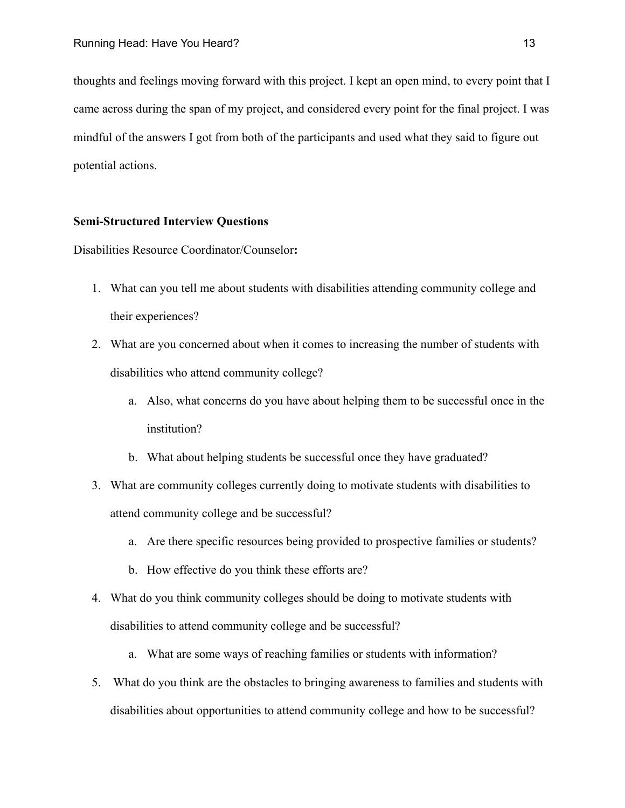thoughts and feelings moving forward with this project. I kept an open mind, to every point that I came across during the span of my project, and considered every point for the final project. I was mindful of the answers I got from both of the participants and used what they said to figure out potential actions.

# **Semi-Structured Interview Questions**

Disabilities Resource Coordinator/Counselor**:**

- 1. What can you tell me about students with disabilities attending community college and their experiences?
- 2. What are you concerned about when it comes to increasing the number of students with disabilities who attend community college?
	- a. Also, what concerns do you have about helping them to be successful once in the institution?
	- b. What about helping students be successful once they have graduated?
- 3. What are community colleges currently doing to motivate students with disabilities to attend community college and be successful?
	- a. Are there specific resources being provided to prospective families or students?
	- b. How effective do you think these efforts are?
- 4. What do you think community colleges should be doing to motivate students with disabilities to attend community college and be successful?
	- a. What are some ways of reaching families or students with information?
- 5. What do you think are the obstacles to bringing awareness to families and students with disabilities about opportunities to attend community college and how to be successful?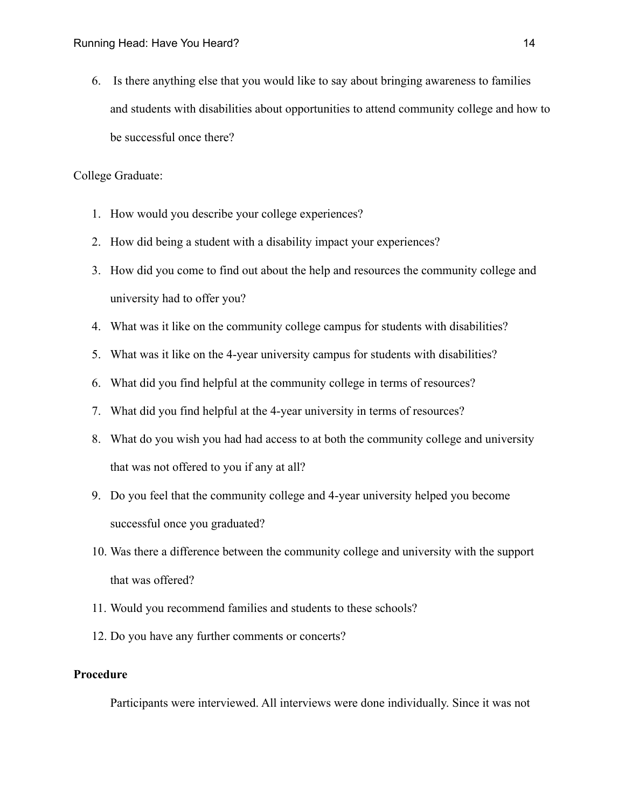6. Is there anything else that you would like to say about bringing awareness to families and students with disabilities about opportunities to attend community college and how to be successful once there?

College Graduate:

- 1. How would you describe your college experiences?
- 2. How did being a student with a disability impact your experiences?
- 3. How did you come to find out about the help and resources the community college and university had to offer you?
- 4. What was it like on the community college campus for students with disabilities?
- 5. What was it like on the 4-year university campus for students with disabilities?
- 6. What did you find helpful at the community college in terms of resources?
- 7. What did you find helpful at the 4-year university in terms of resources?
- 8. What do you wish you had had access to at both the community college and university that was not offered to you if any at all?
- 9. Do you feel that the community college and 4-year university helped you become successful once you graduated?
- 10. Was there a difference between the community college and university with the support that was offered?
- 11. Would you recommend families and students to these schools?
- 12. Do you have any further comments or concerts?

# **Procedure**

Participants were interviewed. All interviews were done individually. Since it was not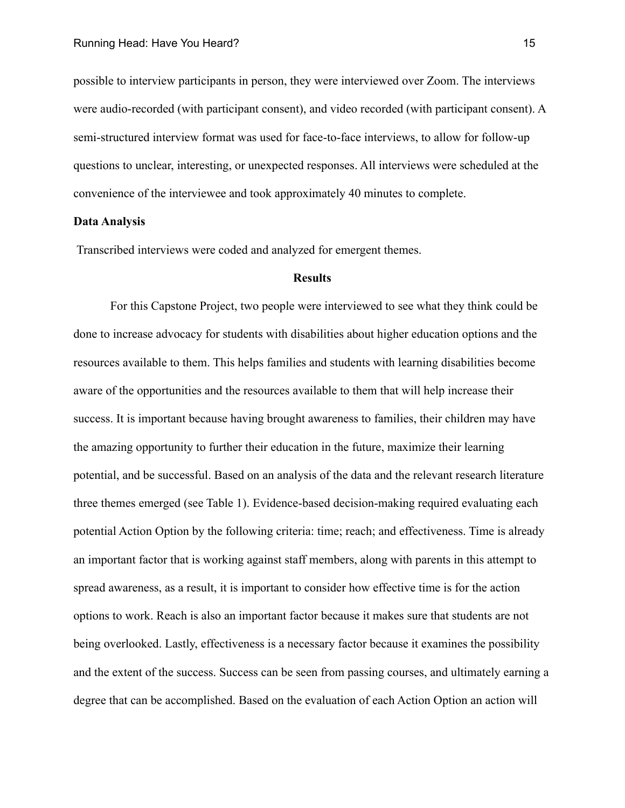possible to interview participants in person, they were interviewed over Zoom. The interviews were audio-recorded (with participant consent), and video recorded (with participant consent). A semi-structured interview format was used for face-to-face interviews, to allow for follow-up questions to unclear, interesting, or unexpected responses. All interviews were scheduled at the convenience of the interviewee and took approximately 40 minutes to complete.

# **Data Analysis**

Transcribed interviews were coded and analyzed for emergent themes.

#### **Results**

For this Capstone Project, two people were interviewed to see what they think could be done to increase advocacy for students with disabilities about higher education options and the resources available to them. This helps families and students with learning disabilities become aware of the opportunities and the resources available to them that will help increase their success. It is important because having brought awareness to families, their children may have the amazing opportunity to further their education in the future, maximize their learning potential, and be successful. Based on an analysis of the data and the relevant research literature three themes emerged (see Table 1). Evidence-based decision-making required evaluating each potential Action Option by the following criteria: time; reach; and effectiveness. Time is already an important factor that is working against staff members, along with parents in this attempt to spread awareness, as a result, it is important to consider how effective time is for the action options to work. Reach is also an important factor because it makes sure that students are not being overlooked. Lastly, effectiveness is a necessary factor because it examines the possibility and the extent of the success. Success can be seen from passing courses, and ultimately earning a degree that can be accomplished. Based on the evaluation of each Action Option an action will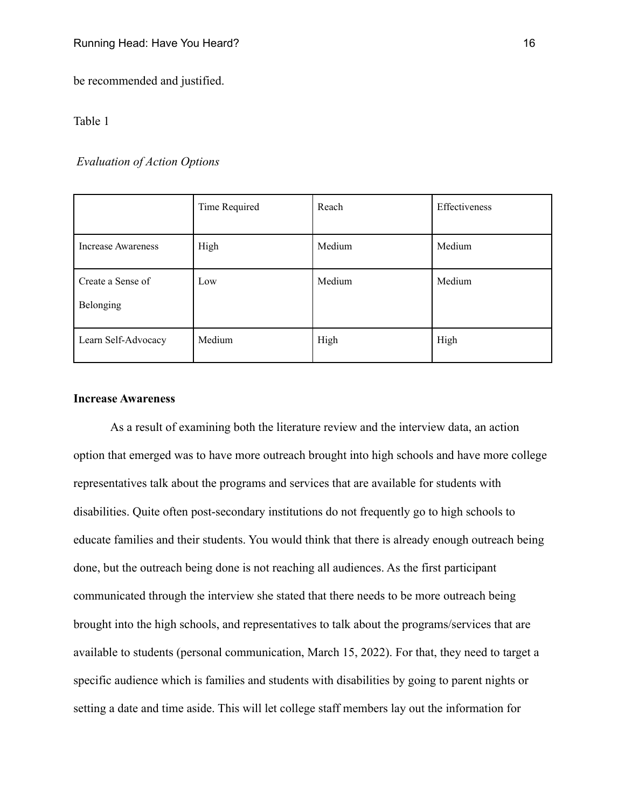be recommended and justified.

# Table 1

# *Evaluation of Action Options*

|                                | Time Required | Reach  | Effectiveness |
|--------------------------------|---------------|--------|---------------|
| <b>Increase Awareness</b>      | High          | Medium | Medium        |
| Create a Sense of<br>Belonging | Low           | Medium | Medium        |
| Learn Self-Advocacy            | Medium        | High   | High          |

# **Increase Awareness**

As a result of examining both the literature review and the interview data, an action option that emerged was to have more outreach brought into high schools and have more college representatives talk about the programs and services that are available for students with disabilities. Quite often post-secondary institutions do not frequently go to high schools to educate families and their students. You would think that there is already enough outreach being done, but the outreach being done is not reaching all audiences. As the first participant communicated through the interview she stated that there needs to be more outreach being brought into the high schools, and representatives to talk about the programs/services that are available to students (personal communication, March 15, 2022). For that, they need to target a specific audience which is families and students with disabilities by going to parent nights or setting a date and time aside. This will let college staff members lay out the information for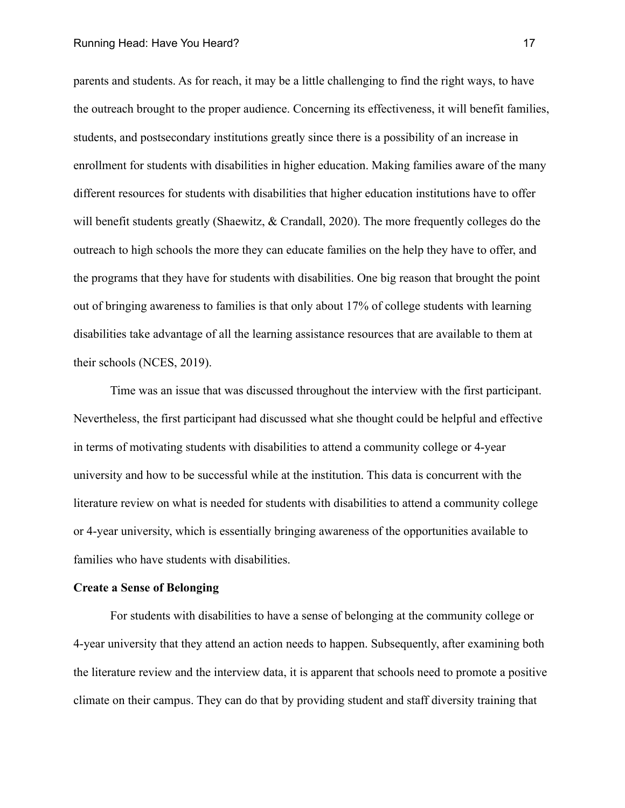#### Running Head: Have You Heard? 17

parents and students. As for reach, it may be a little challenging to find the right ways, to have the outreach brought to the proper audience. Concerning its effectiveness, it will benefit families, students, and postsecondary institutions greatly since there is a possibility of an increase in enrollment for students with disabilities in higher education. Making families aware of the many different resources for students with disabilities that higher education institutions have to offer will benefit students greatly (Shaewitz, & Crandall, 2020). The more frequently colleges do the outreach to high schools the more they can educate families on the help they have to offer, and the programs that they have for students with disabilities. One big reason that brought the point out of bringing awareness to families is that only about 17% of college students with learning disabilities take advantage of all the learning assistance resources that are available to them at their schools (NCES, 2019).

Time was an issue that was discussed throughout the interview with the first participant. Nevertheless, the first participant had discussed what she thought could be helpful and effective in terms of motivating students with disabilities to attend a community college or 4-year university and how to be successful while at the institution. This data is concurrent with the literature review on what is needed for students with disabilities to attend a community college or 4-year university, which is essentially bringing awareness of the opportunities available to families who have students with disabilities.

### **Create a Sense of Belonging**

For students with disabilities to have a sense of belonging at the community college or 4-year university that they attend an action needs to happen. Subsequently, after examining both the literature review and the interview data, it is apparent that schools need to promote a positive climate on their campus. They can do that by providing student and staff diversity training that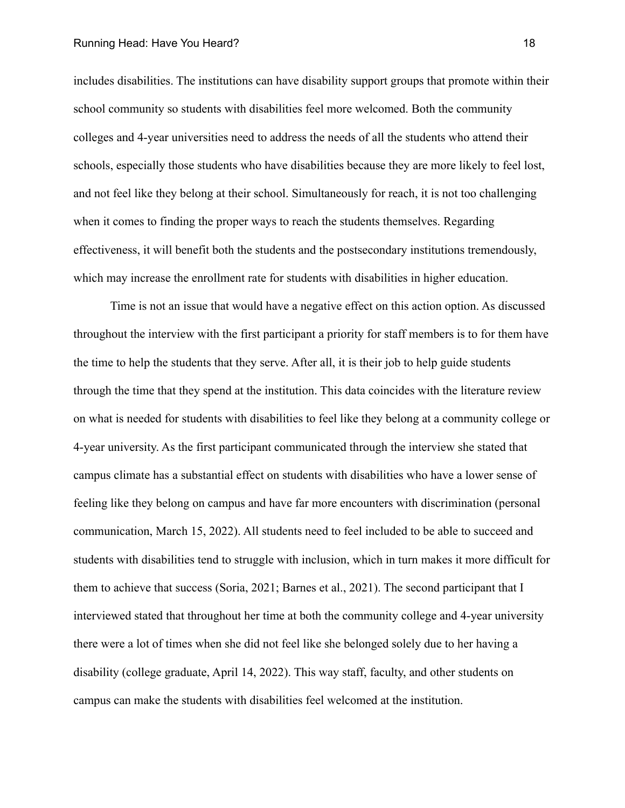#### Running Head: Have You Heard? 18

includes disabilities. The institutions can have disability support groups that promote within their school community so students with disabilities feel more welcomed. Both the community colleges and 4-year universities need to address the needs of all the students who attend their schools, especially those students who have disabilities because they are more likely to feel lost, and not feel like they belong at their school. Simultaneously for reach, it is not too challenging when it comes to finding the proper ways to reach the students themselves. Regarding effectiveness, it will benefit both the students and the postsecondary institutions tremendously, which may increase the enrollment rate for students with disabilities in higher education.

Time is not an issue that would have a negative effect on this action option. As discussed throughout the interview with the first participant a priority for staff members is to for them have the time to help the students that they serve. After all, it is their job to help guide students through the time that they spend at the institution. This data coincides with the literature review on what is needed for students with disabilities to feel like they belong at a community college or 4-year university. As the first participant communicated through the interview she stated that campus climate has a substantial effect on students with disabilities who have a lower sense of feeling like they belong on campus and have far more encounters with discrimination (personal communication, March 15, 2022). All students need to feel included to be able to succeed and students with disabilities tend to struggle with inclusion, which in turn makes it more difficult for them to achieve that success (Soria, 2021; Barnes et al., 2021). The second participant that I interviewed stated that throughout her time at both the community college and 4-year university there were a lot of times when she did not feel like she belonged solely due to her having a disability (college graduate, April 14, 2022). This way staff, faculty, and other students on campus can make the students with disabilities feel welcomed at the institution.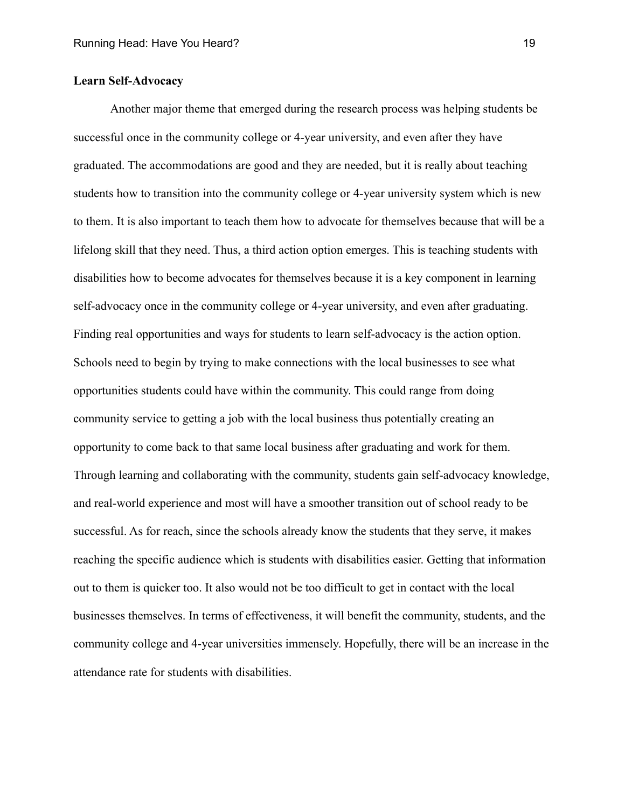# **Learn Self-Advocacy**

Another major theme that emerged during the research process was helping students be successful once in the community college or 4-year university, and even after they have graduated. The accommodations are good and they are needed, but it is really about teaching students how to transition into the community college or 4-year university system which is new to them. It is also important to teach them how to advocate for themselves because that will be a lifelong skill that they need. Thus, a third action option emerges. This is teaching students with disabilities how to become advocates for themselves because it is a key component in learning self-advocacy once in the community college or 4-year university, and even after graduating. Finding real opportunities and ways for students to learn self-advocacy is the action option. Schools need to begin by trying to make connections with the local businesses to see what opportunities students could have within the community. This could range from doing community service to getting a job with the local business thus potentially creating an opportunity to come back to that same local business after graduating and work for them. Through learning and collaborating with the community, students gain self-advocacy knowledge, and real-world experience and most will have a smoother transition out of school ready to be successful. As for reach, since the schools already know the students that they serve, it makes reaching the specific audience which is students with disabilities easier. Getting that information out to them is quicker too. It also would not be too difficult to get in contact with the local businesses themselves. In terms of effectiveness, it will benefit the community, students, and the community college and 4-year universities immensely. Hopefully, there will be an increase in the attendance rate for students with disabilities.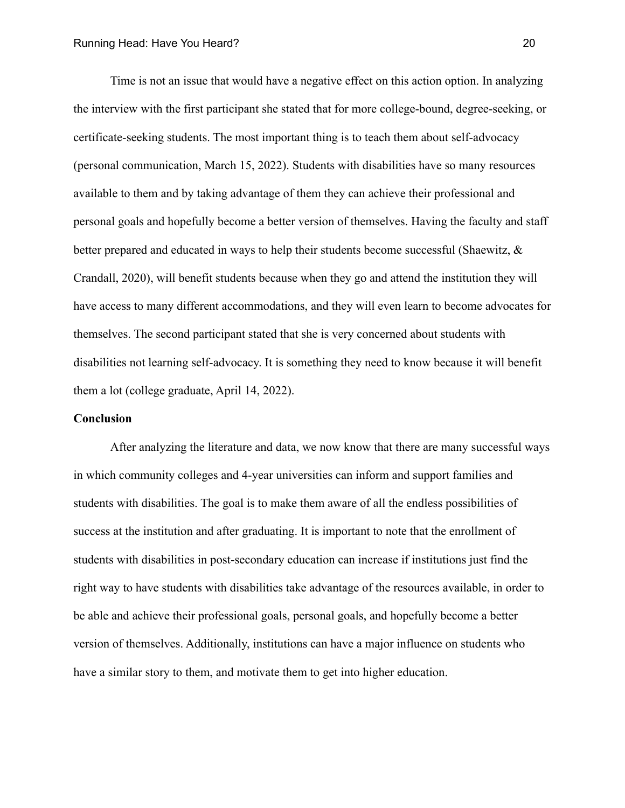Time is not an issue that would have a negative effect on this action option. In analyzing the interview with the first participant she stated that for more college-bound, degree-seeking, or certificate-seeking students. The most important thing is to teach them about self-advocacy (personal communication, March 15, 2022). Students with disabilities have so many resources available to them and by taking advantage of them they can achieve their professional and personal goals and hopefully become a better version of themselves. Having the faculty and staff better prepared and educated in ways to help their students become successful (Shaewitz, & Crandall, 2020), will benefit students because when they go and attend the institution they will have access to many different accommodations, and they will even learn to become advocates for themselves. The second participant stated that she is very concerned about students with disabilities not learning self-advocacy. It is something they need to know because it will benefit them a lot (college graduate, April 14, 2022).

#### **Conclusion**

After analyzing the literature and data, we now know that there are many successful ways in which community colleges and 4-year universities can inform and support families and students with disabilities. The goal is to make them aware of all the endless possibilities of success at the institution and after graduating. It is important to note that the enrollment of students with disabilities in post-secondary education can increase if institutions just find the right way to have students with disabilities take advantage of the resources available, in order to be able and achieve their professional goals, personal goals, and hopefully become a better version of themselves. Additionally, institutions can have a major influence on students who have a similar story to them, and motivate them to get into higher education.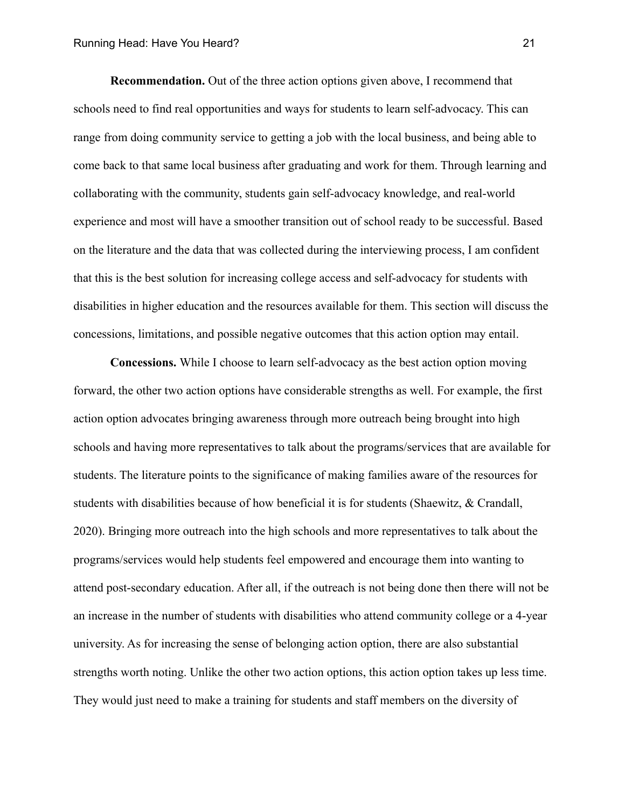**Recommendation.** Out of the three action options given above, I recommend that schools need to find real opportunities and ways for students to learn self-advocacy. This can range from doing community service to getting a job with the local business, and being able to come back to that same local business after graduating and work for them. Through learning and collaborating with the community, students gain self-advocacy knowledge, and real-world experience and most will have a smoother transition out of school ready to be successful. Based on the literature and the data that was collected during the interviewing process, I am confident that this is the best solution for increasing college access and self-advocacy for students with disabilities in higher education and the resources available for them. This section will discuss the concessions, limitations, and possible negative outcomes that this action option may entail.

**Concessions.** While I choose to learn self-advocacy as the best action option moving forward, the other two action options have considerable strengths as well. For example, the first action option advocates bringing awareness through more outreach being brought into high schools and having more representatives to talk about the programs/services that are available for students. The literature points to the significance of making families aware of the resources for students with disabilities because of how beneficial it is for students (Shaewitz, & Crandall, 2020). Bringing more outreach into the high schools and more representatives to talk about the programs/services would help students feel empowered and encourage them into wanting to attend post-secondary education. After all, if the outreach is not being done then there will not be an increase in the number of students with disabilities who attend community college or a 4-year university. As for increasing the sense of belonging action option, there are also substantial strengths worth noting. Unlike the other two action options, this action option takes up less time. They would just need to make a training for students and staff members on the diversity of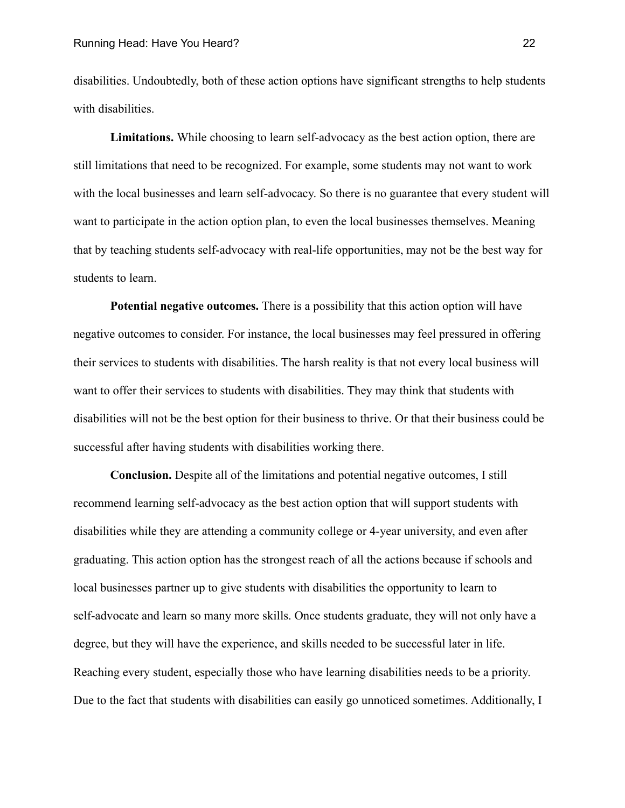disabilities. Undoubtedly, both of these action options have significant strengths to help students with disabilities.

**Limitations.** While choosing to learn self-advocacy as the best action option, there are still limitations that need to be recognized. For example, some students may not want to work with the local businesses and learn self-advocacy. So there is no guarantee that every student will want to participate in the action option plan, to even the local businesses themselves. Meaning that by teaching students self-advocacy with real-life opportunities, may not be the best way for students to learn.

**Potential negative outcomes.** There is a possibility that this action option will have negative outcomes to consider. For instance, the local businesses may feel pressured in offering their services to students with disabilities. The harsh reality is that not every local business will want to offer their services to students with disabilities. They may think that students with disabilities will not be the best option for their business to thrive. Or that their business could be successful after having students with disabilities working there.

**Conclusion.** Despite all of the limitations and potential negative outcomes, I still recommend learning self-advocacy as the best action option that will support students with disabilities while they are attending a community college or 4-year university, and even after graduating. This action option has the strongest reach of all the actions because if schools and local businesses partner up to give students with disabilities the opportunity to learn to self-advocate and learn so many more skills. Once students graduate, they will not only have a degree, but they will have the experience, and skills needed to be successful later in life. Reaching every student, especially those who have learning disabilities needs to be a priority. Due to the fact that students with disabilities can easily go unnoticed sometimes. Additionally, I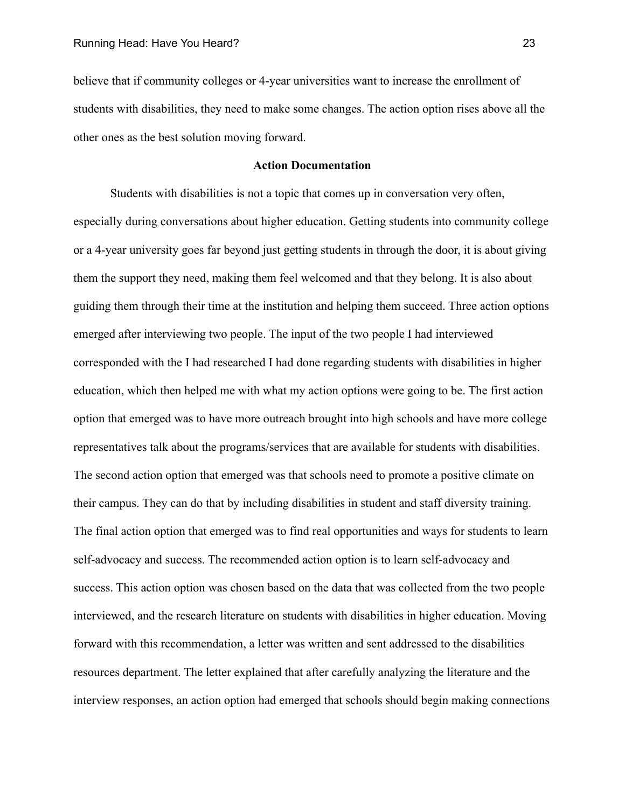believe that if community colleges or 4-year universities want to increase the enrollment of students with disabilities, they need to make some changes. The action option rises above all the other ones as the best solution moving forward.

# **Action Documentation**

Students with disabilities is not a topic that comes up in conversation very often, especially during conversations about higher education. Getting students into community college or a 4-year university goes far beyond just getting students in through the door, it is about giving them the support they need, making them feel welcomed and that they belong. It is also about guiding them through their time at the institution and helping them succeed. Three action options emerged after interviewing two people. The input of the two people I had interviewed corresponded with the I had researched I had done regarding students with disabilities in higher education, which then helped me with what my action options were going to be. The first action option that emerged was to have more outreach brought into high schools and have more college representatives talk about the programs/services that are available for students with disabilities. The second action option that emerged was that schools need to promote a positive climate on their campus. They can do that by including disabilities in student and staff diversity training. The final action option that emerged was to find real opportunities and ways for students to learn self-advocacy and success. The recommended action option is to learn self-advocacy and success. This action option was chosen based on the data that was collected from the two people interviewed, and the research literature on students with disabilities in higher education. Moving forward with this recommendation, a letter was written and sent addressed to the disabilities resources department. The letter explained that after carefully analyzing the literature and the interview responses, an action option had emerged that schools should begin making connections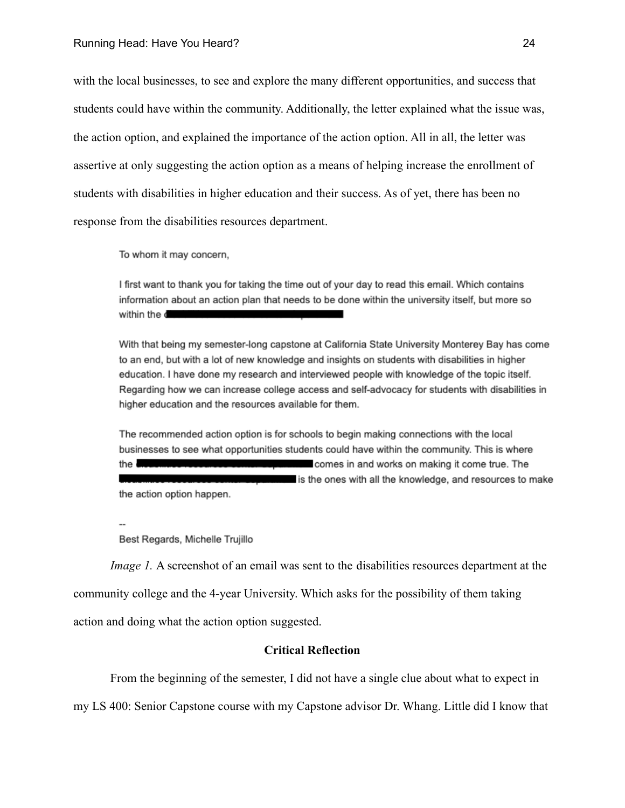with the local businesses, to see and explore the many different opportunities, and success that students could have within the community. Additionally, the letter explained what the issue was, the action option, and explained the importance of the action option. All in all, the letter was assertive at only suggesting the action option as a means of helping increase the enrollment of students with disabilities in higher education and their success. As of yet, there has been no response from the disabilities resources department.

To whom it may concern,

I first want to thank you for taking the time out of your day to read this email. Which contains information about an action plan that needs to be done within the university itself, but more so within the d

With that being my semester-long capstone at California State University Monterey Bay has come to an end, but with a lot of new knowledge and insights on students with disabilities in higher education. I have done my research and interviewed people with knowledge of the topic itself. Regarding how we can increase college access and self-advocacy for students with disabilities in higher education and the resources available for them.

The recommended action option is for schools to begin making connections with the local businesses to see what opportunities students could have within the community. This is where comes in and works on making it come true. The the  $\blacksquare$ is the ones with all the knowledge, and resources to make the action option happen.

 $\overline{\phantom{a}}$ 

Best Regards, Michelle Trujillo

*Image 1.* A screenshot of an email was sent to the disabilities resources department at the community college and the 4-year University. Which asks for the possibility of them taking action and doing what the action option suggested.

# **Critical Reflection**

From the beginning of the semester, I did not have a single clue about what to expect in my LS 400: Senior Capstone course with my Capstone advisor Dr. Whang. Little did I know that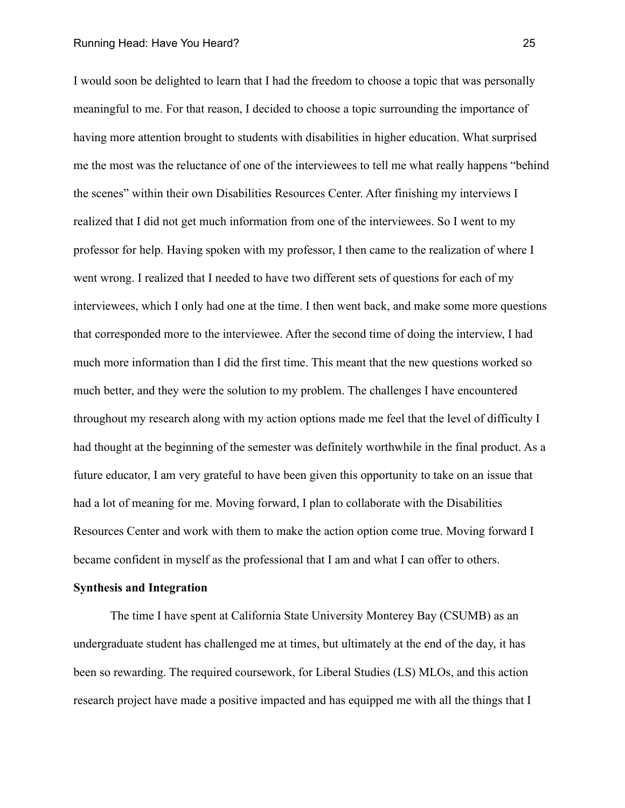I would soon be delighted to learn that I had the freedom to choose a topic that was personally meaningful to me. For that reason, I decided to choose a topic surrounding the importance of having more attention brought to students with disabilities in higher education. What surprised me the most was the reluctance of one of the interviewees to tell me what really happens "behind the scenes" within their own Disabilities Resources Center. After finishing my interviews I realized that I did not get much information from one of the interviewees. So I went to my professor for help. Having spoken with my professor, I then came to the realization of where I went wrong. I realized that I needed to have two different sets of questions for each of my interviewees, which I only had one at the time. I then went back, and make some more questions that corresponded more to the interviewee. After the second time of doing the interview, I had much more information than I did the first time. This meant that the new questions worked so much better, and they were the solution to my problem. The challenges I have encountered throughout my research along with my action options made me feel that the level of difficulty I had thought at the beginning of the semester was definitely worthwhile in the final product. As a future educator, I am very grateful to have been given this opportunity to take on an issue that had a lot of meaning for me. Moving forward, I plan to collaborate with the Disabilities Resources Center and work with them to make the action option come true. Moving forward I became confident in myself as the professional that I am and what I can offer to others.

### **Synthesis and Integration**

The time I have spent at California State University Monterey Bay (CSUMB) as an undergraduate student has challenged me at times, but ultimately at the end of the day, it has been so rewarding. The required coursework, for Liberal Studies (LS) MLOs, and this action research project have made a positive impacted and has equipped me with all the things that I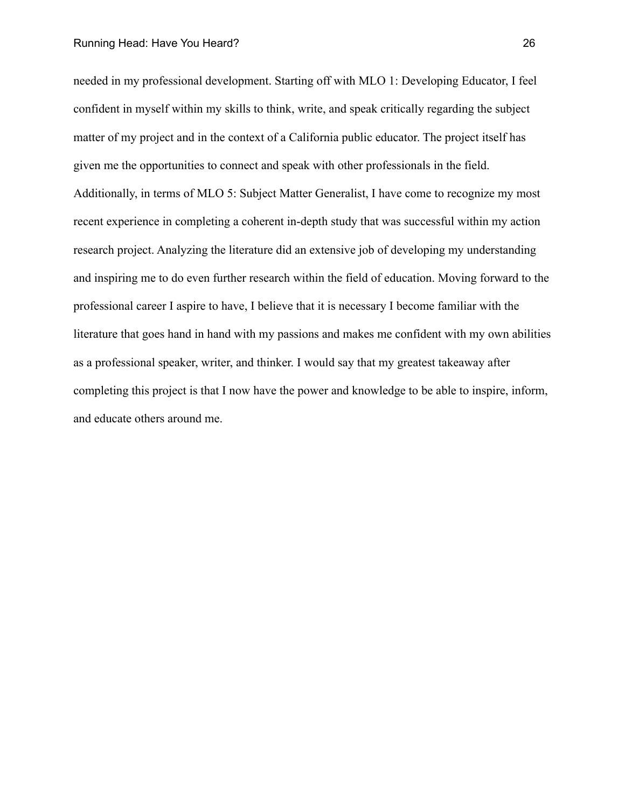needed in my professional development. Starting off with MLO 1: Developing Educator, I feel confident in myself within my skills to think, write, and speak critically regarding the subject matter of my project and in the context of a California public educator. The project itself has given me the opportunities to connect and speak with other professionals in the field. Additionally, in terms of MLO 5: Subject Matter Generalist, I have come to recognize my most recent experience in completing a coherent in-depth study that was successful within my action research project. Analyzing the literature did an extensive job of developing my understanding and inspiring me to do even further research within the field of education. Moving forward to the professional career I aspire to have, I believe that it is necessary I become familiar with the literature that goes hand in hand with my passions and makes me confident with my own abilities as a professional speaker, writer, and thinker. I would say that my greatest takeaway after completing this project is that I now have the power and knowledge to be able to inspire, inform, and educate others around me.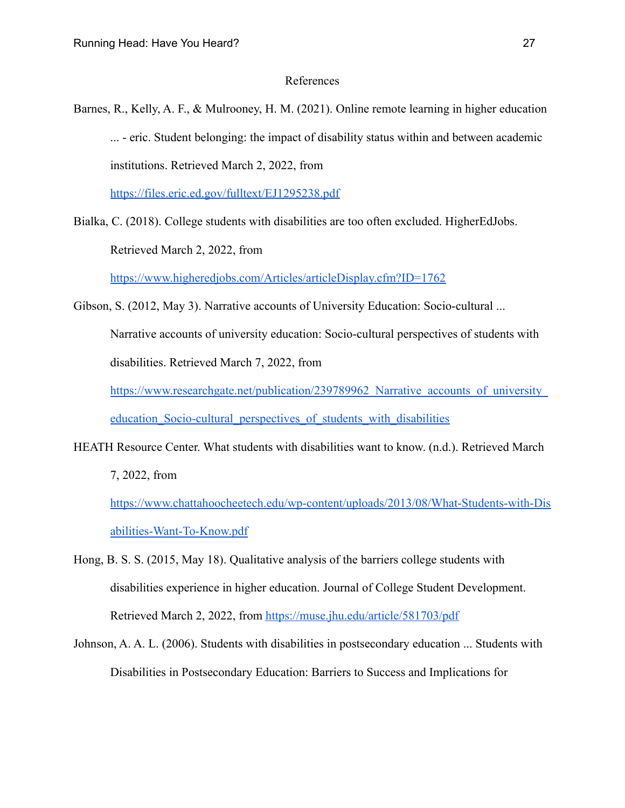### References

Barnes, R., Kelly, A. F., & Mulrooney, H. M. (2021). Online remote learning in higher education ... - eric. Student belonging: the impact of disability status within and between academic institutions. Retrieved March 2, 2022, from

<https://files.eric.ed.gov/fulltext/EJ1295238.pdf>

Bialka, C. (2018). College students with disabilities are too often excluded. HigherEdJobs.

Retrieved March 2, 2022, from

<https://www.higheredjobs.com/Articles/articleDisplay.cfm?ID=1762>

Gibson, S. (2012, May 3). Narrative accounts of University Education: Socio-cultural ...

Narrative accounts of university education: Socio-cultural perspectives of students with disabilities. Retrieved March 7, 2022, from

https://www.researchgate.net/publication/239789962 Narrative accounts of university education Socio-cultural perspectives of students with disabilities

HEATH Resource Center. What students with disabilities want to know. (n.d.). Retrieved March

7, 2022, from

[https://www.chattahoocheetech.edu/wp-content/uploads/2013/08/What-Students-with-Dis](https://www.chattahoocheetech.edu/wp-content/uploads/2013/08/What-Students-with-Disabilities-Want-To-Know.pdf) [abilities-Want-To-Know.pdf](https://www.chattahoocheetech.edu/wp-content/uploads/2013/08/What-Students-with-Disabilities-Want-To-Know.pdf)

- Hong, B. S. S. (2015, May 18). Qualitative analysis of the barriers college students with disabilities experience in higher education. Journal of College Student Development. Retrieved March 2, 2022, from <https://muse.jhu.edu/article/581703/pdf>
- Johnson, A. A. L. (2006). Students with disabilities in postsecondary education ... Students with Disabilities in Postsecondary Education: Barriers to Success and Implications for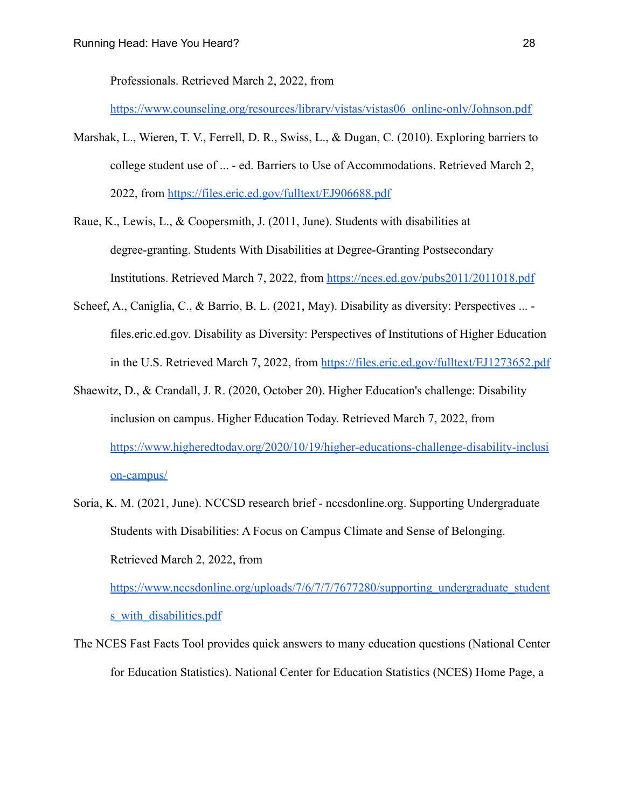Professionals. Retrieved March 2, 2022, from

[https://www.counseling.org/resources/library/vistas/vistas06\\_online-only/Johnson.pdf](https://www.counseling.org/resources/library/vistas/vistas06_online-only/Johnson.pdf)

- Marshak, L., Wieren, T. V., Ferrell, D. R., Swiss, L., & Dugan, C. (2010). Exploring barriers to college student use of ... - ed. Barriers to Use of Accommodations. Retrieved March 2, 2022, from <https://files.eric.ed.gov/fulltext/EJ906688.pdf>
- Raue, K., Lewis, L., & Coopersmith, J. (2011, June). Students with disabilities at degree-granting. Students With Disabilities at Degree-Granting Postsecondary Institutions. Retrieved March 7, 2022, from <https://nces.ed.gov/pubs2011/2011018.pdf>
- Scheef, A., Caniglia, C., & Barrio, B. L. (2021, May). Disability as diversity: Perspectives ... files.eric.ed.gov. Disability as Diversity: Perspectives of Institutions of Higher Education in the U.S. Retrieved March 7, 2022, from <https://files.eric.ed.gov/fulltext/EJ1273652.pdf>
- Shaewitz, D., & Crandall, J. R. (2020, October 20). Higher Education's challenge: Disability inclusion on campus. Higher Education Today. Retrieved March 7, 2022, from [https://www.higheredtoday.org/2020/10/19/higher-educations-challenge-disability-inclusi](https://www.higheredtoday.org/2020/10/19/higher-educations-challenge-disability-inclusion-campus/) [on-campus/](https://www.higheredtoday.org/2020/10/19/higher-educations-challenge-disability-inclusion-campus/)
- Soria, K. M. (2021, June). NCCSD research brief nccsdonline.org. Supporting Undergraduate Students with Disabilities: A Focus on Campus Climate and Sense of Belonging. Retrieved March 2, 2022, from [https://www.nccsdonline.org/uploads/7/6/7/7/7677280/supporting\\_undergraduate\\_student](https://www.nccsdonline.org/uploads/7/6/7/7/7677280/supporting_undergraduate_students_with_disabilities.pdf)

s with disabilities.pdf

The NCES Fast Facts Tool provides quick answers to many education questions (National Center for Education Statistics). National Center for Education Statistics (NCES) Home Page, a